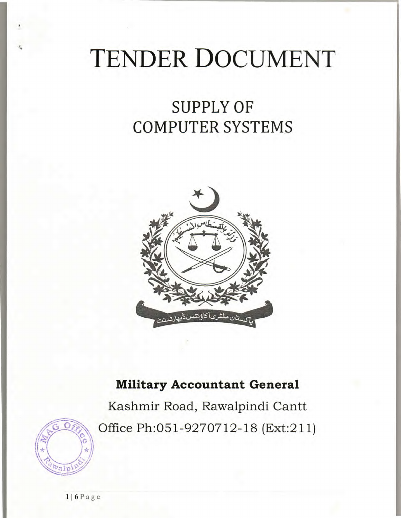# **TENDER DOCUMENT**

# SUPPLY OF COMPUTER SYSTEMS



## Military Accountant General

Kashmir Road, Rawalpindi Cantt Office Ph:051-9270712-18 (Ext:211)



**<sup>1</sup> <sup>1</sup> 6 Page**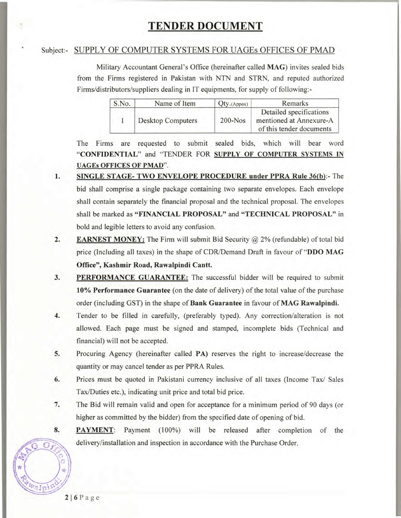### **TENDER DOCUMENT**

#### Subject:- SUPPLY OF COMPUTER SYSTEMS FOR UAGEs OFFICES OF PMAD

Military Accountant General's Office (hereinafter called MAG) invites sealed bids from the Firms registered in Pakistan with NTN and STRN, and reputed authorized Firms/distributors/suppliers dealing in IT equipments, for supply of following:-

| S.No. | Name of Item             | Qty.(Appox) | Remarks                                                                        |
|-------|--------------------------|-------------|--------------------------------------------------------------------------------|
|       | <b>Desktop Computers</b> | $200 - Nos$ | Detailed specifications<br>mentioned at Annexure-A<br>of this tender documents |

The Firms are requested to submit sealed bids, which will bear word **"CONFIDENTIAL"** and "TENDER FOR **SUPPLY OF COMPUTER SYSTEMS IN UAGEs OFFICES OF PMAD".** 

- **1. SINGLE STAGE- TWO ENVELOPE PROCEDURE under PPRA Rule 36(b):- The**  bid shall comprise a single package containing two separate envelopes. Each envelope shall contain separately the financial proposal and the technical proposal. The envelopes shall be marked as **"FINANCIAL PROPOSAL"** and **"TECHNICAL PROPOSAL"** in bold and legible letters to avoid any confusion.
- **2. EARNEST MONEY:** The Firm will submit Bid Security @ 2% (refundable) of total bid price (Including all taxes) in the shape of CDR/Demand Draft in favour of **"DDO** MAG **Office", Kashmir Road, Rawalpindi Cantt.**
- **3. PERFORMANCE GUARANTEE:** The successful bidder will be required to submit **10% Performance Guarantee** (on the date of delivery) of the total value of the purchase order (including GST) in the shape of **Bank Guarantee** in favour of MAG **Rawalpindi.**
- 4. Tender to be filled in carefully, (preferably typed). Any correction/alteration is not allowed. Each page must be signed and stamped, incomplete bids (Technical and financial) will not be accepted.
- 5. Procuring Agency (hereinafter called PA) reserves the right to increase/decrease the quantity or may cancel tender as per PPRA Rules.
- 6. Prices must be quoted in Pakistani currency inclusive of all taxes (Income Tax/ Sales Tax/Duties etc.), indicating unit price and total bid price.
- 7. The Bid will remain valid and open for acceptance for a minimum period of 90 days (or higher as committed by the bidder) from the specified date of opening of bid.
- 8. PAYMENT: Payment (100%) will be released after completion of the delivery/installation and inspection in accordance with the Purchase Order.

 $\overline{O}$ 

valpin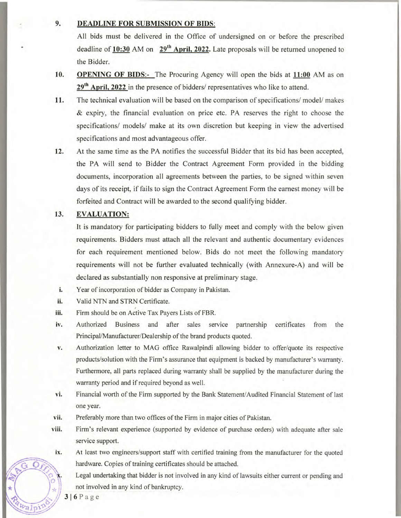#### **9. DEADLINE FOR SUBMISSION OF BIDS:**

All bids must be delivered in the Office of undersigned on or before the prescribed deadline of 10:30 AM on 29<sup>th</sup> April, 2022. Late proposals will be returned unopened to the Bidder.

- **10. OPENING OF BIDS:-** The Procuring Agency will open the bids at **11:00** AM as on 29<sup>th</sup> April, 2022 in the presence of bidders/ representatives who like to attend.
- 11. The technical evaluation will be based on the comparison of specifications/ model/ makes & expiry, the financial evaluation on price etc. PA reserves the right to choose the specifications/ models/ make at its own discretion but keeping in view the advertised specifications and most advantageous offer.
- 12. At the same time as the PA notifies the successful Bidder that its bid has been accepted, the PA will send to Bidder the Contract Agreement Form provided in the bidding documents, incorporation all agreements between the parties, to be signed within seven days of its receipt, if fails to sign the Contract Agreement Form the earnest money will be forfeited and Contract will be awarded to the second qualifying bidder.

#### **13. EVALUATION:**

It is mandatory for participating bidders to fully meet and comply with the below given requirements. Bidders must attach all the relevant and authentic documentary evidences for each requirement mentioned below. Bids do not meet the following mandatory requirements will not be further evaluated technically (with Annexure-A) and will be declared as substantially non responsive at preliminary stage.

- i. Year of incorporation of bidder as Company in Pakistan.
- ii. Valid NTN and STRN Certificate.
- iii. Firm should be on Active Tax Payers Lists of FBR.
- iv. Authorized Business and after sales service partnership certificates from the Principal/Manufacturer/Dealership of the brand products quoted.
- V. Authorization letter to MAG office Rawalpindi allowing bidder to offer/quote its respective products/solution with the Firm's assurance that equipment is backed by manufacturer's warranty. Furthermore, all parts replaced during warranty shall be supplied by the manufacturer during the warranty period and if required beyond as well.
- vi. Financial worth of the Firm supported by the Bank Statement/Audited Financial Statement of last one year.
- vii. Preferably more than two offices of the Firm in major cities of Pakistan.
- viii. Firm's relevant experience (supported by evidence of purchase orders) with adequate after sale service support.
- ix. At least two engineers/support staff with certified training from the manufacturer for the quoted hardware. Copies of training certificates should be attached.

Legal undertaking that bidder is not involved in any kind of lawsuits either current or pending and not involved in any kind of bankruptcy.

 $3|6Page$ 

 $\mathscr{L}_2$ 

 $v_{\alpha}$ <sub>[p</sub>

Ω.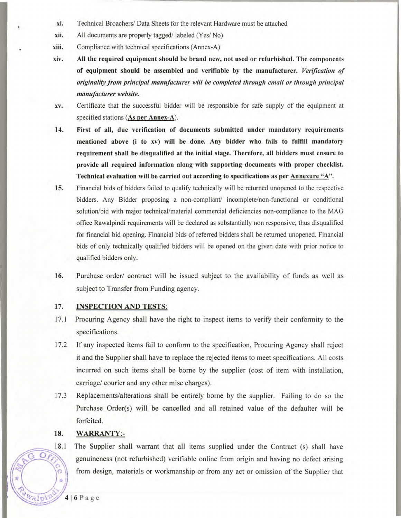- xi. Technical Broachers/ Data Sheets for the relevant Hardware must be attached
- xii. All documents are properly tagged/labeled (Yes/No)
- xiii. Compliance with technical specifications (Annex-A)
- **xiv. All the required equipment should be brand new, not used or refurbished. The components of equipment should be assembled and verifiable** by **the manufacturer.** *Verjfication of originality from principal manufacturer will be completed through email or through principal manufacturer website.*
- xv. Certificate that the successful bidder will be responsible for safe supply of the equipment at specified stations (As **per Annex**-A).
- **14. First of all, due verification of documents submitted under mandatory requirements mentioned above** (i **to xv) will be done. Any bidder who fails to fulfill mandatory requirement shall be disqualified at the initial stage. Therefore, all bidders must ensure to provide all required information along with supporting documents with proper checklist. Technical evaluation will be carried out according to specifications as per Annexure** "A".
- 15. Financial bids of bidders failed to qualify technically will be returned unopened to the respective bidders. Any Bidder proposing a non-compliant/ incomplete/non-functional or conditional solution/bid with major technical/material commercial deficiencies non-compliance to the MAG office Rawalpindi requirements will be declared as substantially non responsive, thus disqualified for financial bid opening. Financial bids of referred bidders shall be returned unopened. Financial bids of only technically qualified bidders will be opened on the given date with prior notice to qualified bidders only.
- 16. Purchase order/ contract will be issued subject to the availability of funds as well as subject to Transfer from Funding agency.

#### **17. INSPECTION AND TESTS:**

- 17.1 Procuring Agency shall have the right to inspect items to verify their conformity to the specifications.
- 17.2 If any inspected items fail to conform to the specification, Procuring Agency shall reject it and the Supplier shall have to replace the rejected items to meet specifications. All costs incurred on such items shall be borne by the supplier (cost of item with installation, carriage/ courier and any other misc charges).
- 17.3 Replacements/alterations shall be entirely borne by the supplier. Failing to do so the Purchase Order(s) will be cancelled and all retained value of the defaulter will be forfeited.

#### **18. WARRANTY:**-

 18.1 The Supplier shall warrant that all items supplied under the Contract (s) shall have genuineness (not refurbished) verifiable online from origin and having no defect arising **o** from design, materials or workmanship or from any act or omission of the Supplier that

 $\overline{\mathbf{O}}$  i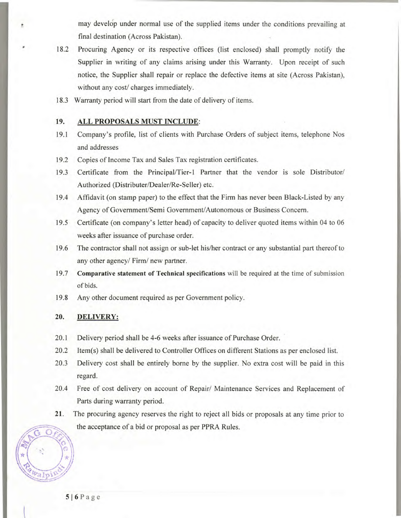may develdp under normal use of the supplied items under the conditions prevailing at final destination (Across Pakistan).

- 18.2 Procuring Agency or its respective offices (list enclosed) shall promptly notify the Supplier in writing of any claims arising under this Warranty. Upon receipt of such notice, the Supplier shall repair or replace the defective items at site (Across Pakistan), without any cost/ charges immediately.
- 18.3 Warranty period will start from the date of delivery of items.

#### **19. ALL PROPOSALS MUST INCLUDE:**

- 19.1 Company's profile, list of clients with Purchase Orders of subject items, telephone Nos and addresses
- 19.2 Copies of Income Tax and Sales Tax registration certificates.
- 19.3 Certificate from the Principal/Tier-1 Partner that the vendor is sole Distributor/ Authorized (Distributer/Dealer/Re-Seller) etc.
- 19.4 Affidavit (on stamp paper) to the effect that the Firm has never been Black-Listed by any Agency of Government/Semi Government/Autonomous or Business Concern.
- 19.5 Certificate (on company's letter head) of capacity to deliver quoted items within 04 to 06 weeks after issuance of purchase order.
- 19.6 The contractor shall not assign or sub-let his/her contract or any substantial part thereof to any other agency/ Firm/ new partner.
- 19.7 **Comparative statement of Technical specifications** will be required at the time of submission of bids.
- 19.8 Any other document required as per Government policy.

#### **20. DELIVERY:**

a

- 20.1 Delivery period shall be 4-6 weeks after issuance of Purchase Order.
- 20.2 Item(s) shall be delivered to Controller Offices on different Stations as per enclosed list.
- 20.3 Delivery cost shall be entirely borne by the supplier. No extra cost will be paid in this regard.
- 20.4 Free of cost delivery on account of Repair/ Maintenance Services and Replacement of Parts during warranty period.
- 21. The procuring agency reserves the right to reject all bids or proposals at any time prior to the acceptance of a bid or proposal as per PPRA Rules. of